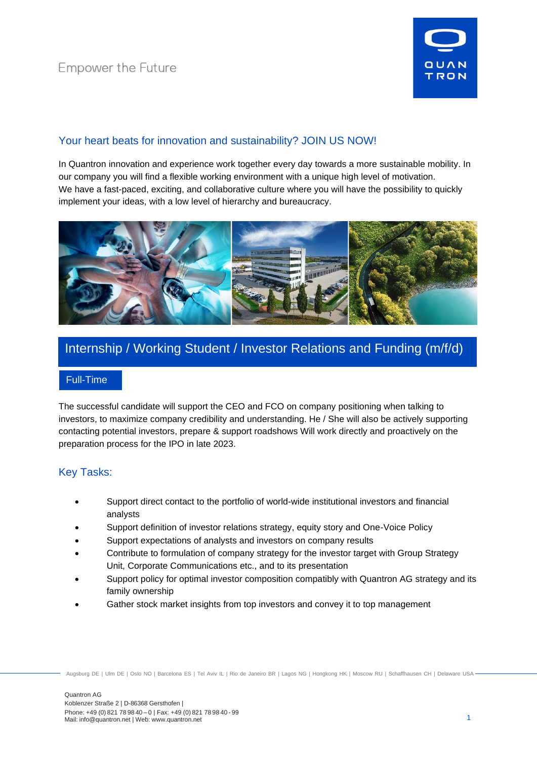

## Your heart beats for innovation and sustainability? JOIN US NOW!

In Quantron innovation and experience work together every day towards a more sustainable mobility. In our company you will find a flexible working environment with a unique high level of motivation. We have a fast-paced, exciting, and collaborative culture where you will have the possibility to quickly implement your ideas, with a low level of hierarchy and bureaucracy.



# Internship / Working Student / Investor Relations and Funding (m/f/d)

### Full-Time

The successful candidate will support the CEO and FCO on company positioning when talking to investors, to maximize company credibility and understanding. He / She will also be actively supporting contacting potential investors, prepare & support roadshows Will work directly and proactively on the preparation process for the IPO in late 2023.

# Key Tasks:

- Support direct contact to the portfolio of world-wide institutional investors and financial analysts
- Support definition of investor relations strategy, equity story and One-Voice Policy
- Support expectations of analysts and investors on company results
- Contribute to formulation of company strategy for the investor target with Group Strategy Unit, Corporate Communications etc., and to its presentation
- Support policy for optimal investor composition compatibly with Quantron AG strategy and its family ownership
- Gather stock market insights from top investors and convey it to top management

Augsburg DE | Ulm DE | Oslo NO | Barcelona ES | Tel Aviv IL | Rio de Janeiro BR | Lagos NG | Hongkong HK | Moscow RU | Schaffhausen CH | Delaware USA